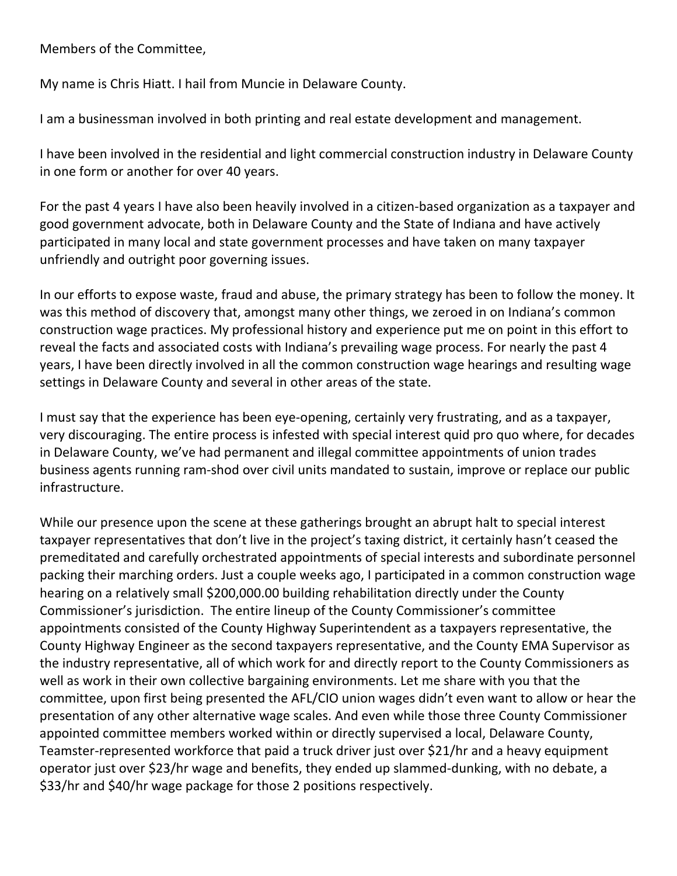Members of the Committee,

My name is Chris Hiatt. I hail from Muncie in Delaware County.

I am a businessman involved in both printing and real estate development and management.

I have been involved in the residential and light commercial construction industry in Delaware County in one form or another for over 40 years.

For the past 4 years I have also been heavily involved in a citizen-based organization as a taxpayer and good government advocate, both in Delaware County and the State of Indiana and have actively participated in many local and state government processes and have taken on many taxpayer unfriendly and outright poor governing issues.

In our efforts to expose waste, fraud and abuse, the primary strategy has been to follow the money. It was this method of discovery that, amongst many other things, we zeroed in on Indiana's common construction wage practices. My professional history and experience put me on point in this effort to reveal the facts and associated costs with Indiana's prevailing wage process. For nearly the past 4 years, I have been directly involved in all the common construction wage hearings and resulting wage settings in Delaware County and several in other areas of the state.

I must say that the experience has been eye-opening, certainly very frustrating, and as a taxpayer, very discouraging. The entire process is infested with special interest quid pro quo where, for decades in Delaware County, we've had permanent and illegal committee appointments of union trades business agents running ram-shod over civil units mandated to sustain, improve or replace our public infrastructure.

While our presence upon the scene at these gatherings brought an abrupt halt to special interest taxpayer representatives that don't live in the project's taxing district, it certainly hasn't ceased the premeditated and carefully orchestrated appointments of special interests and subordinate personnel packing their marching orders. Just a couple weeks ago, I participated in a common construction wage hearing on a relatively small \$200,000.00 building rehabilitation directly under the County Commissioner's jurisdiction. The entire lineup of the County Commissioner's committee appointments consisted of the County Highway Superintendent as a taxpayers representative, the County Highway Engineer as the second taxpayers representative, and the County EMA Supervisor as the industry representative, all of which work for and directly report to the County Commissioners as well as work in their own collective bargaining environments. Let me share with you that the committee, upon first being presented the AFL/CIO union wages didn't even want to allow or hear the presentation of any other alternative wage scales. And even while those three County Commissioner appointed committee members worked within or directly supervised a local, Delaware County, Teamster-represented workforce that paid a truck driver just over \$21/hr and a heavy equipment operator just over \$23/hr wage and benefits, they ended up slammed-dunking, with no debate, a \$33/hr and \$40/hr wage package for those 2 positions respectively.